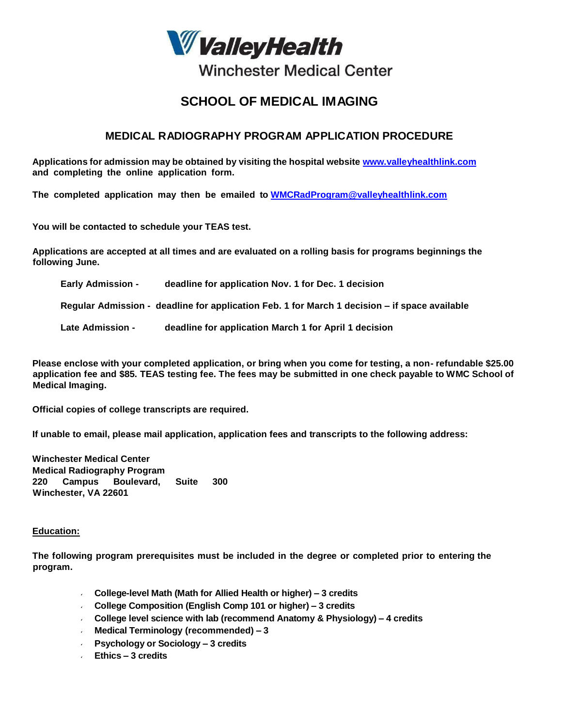

# **Winchester Medical Center**

## **SCHOOL OF MEDICAL IMAGING**

### **MEDICAL RADIOGRAPHY PROGRAM APPLICATION PROCEDURE**

**Applications for admission may be obtained by visiting the hospital website [www.valleyhealthlink.com](http://www.valleyhealthlink.com/) and completing the online application form.**

**The completed application may then be emailed to [WMCRadProgram@valleyhealthlink.com](mailto:WMCRadProgram@valleyhealthlink.com)**

**You will be contacted to schedule your TEAS test.**

**Applications are accepted at all times and are evaluated on a rolling basis for programs beginnings the following June.**

**Early Admission - deadline for application Nov. 1 for Dec. 1 decision**

**Regular Admission - deadline for application Feb. 1 for March 1 decision – if space available**

**Late Admission - deadline for application March 1 for April 1 decision**

**Please enclose with your completed application, or bring when you come for testing, a non- refundable \$25.00** application fee and \$85. TEAS testing fee. The fees may be submitted in one check payable to WMC School of **Medical Imaging.**

**Official copies of college transcripts are required.**

**If unable to email, please mail application, application fees and transcripts to the following address:**

**Winchester Medical Center Medical Radiography Program 220 Campus Boulevard, Suite 300 Winchester, VA 22601**

#### **Education:**

**The following program prerequisites must be included in the degree or completed prior to entering the program.**

- **College-level Math (Math for Allied Health or higher) – 3 credits**
- **College Composition (English Comp 101 or higher) – 3 credits**
- **College level science with lab (recommend Anatomy & Physiology) – 4 credits**
- **Medical Terminology (recommended) – 3**
- **Psychology or Sociology – 3 credits**
- **Ethics – 3 credits**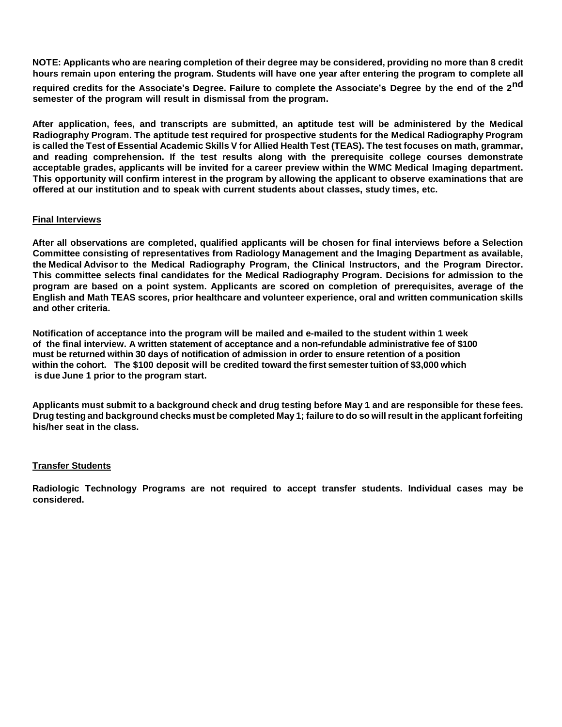**NOTE: Applicants who are nearing completion of their degree may be considered, providing no more than 8 credit hours remain upon entering the program. Students will have one year after entering the program to complete all**

required credits for the Associate's Degree. Failure to complete the Associate's Degree by the end of the 2<sup>nd</sup> **semester of the program will result in dismissal from the program.**

**After application, fees, and transcripts are submitted, an aptitude test will be administered by the Medical Radiography Program. The aptitude test required for prospective students for the Medical Radiography Program**  is called the Test of Essential Academic Skills V for Allied Health Test (TEAS). The test focuses on math, grammar, **and reading comprehension. If the test results along with the prerequisite college courses demonstrate acceptable grades, applicants will be invited for a career preview within the WMC Medical Imaging department. This opportunity will confirm interest in the program by allowing the applicant to observe examinations that are offered at our institution and to speak with current students about classes, study times, etc.**

#### **Final Interviews**

**After all observations are completed, qualified applicants will be chosen for final interviews before a Selection Committee consisting of representatives from Radiology Management and the Imaging Department as available, the Medical Advisor to the Medical Radiography Program, the Clinical Instructors, and the Program Director. This committee selects final candidates for the Medical Radiography Program. Decisions for admission to the program are based on a point system. Applicants are scored on completion of prerequisites, average of the English and Math TEAS scores, prior healthcare and volunteer experience, oral and written communication skills and other criteria.**

 **Notification of acceptance into the program will be mailed and e-mailed to the student within 1 week of the final interview. A written statement of acceptance and a non-refundable administrative fee of \$100 must be returned within 30 days of notification of admission in order to ensure retention of a position within the cohort. The \$100 deposit will be credited toward the first semestertuition of \$3,000 which is due June 1 prior to the program start.**

Applicants must submit to a background check and drug testing before May 1 and are responsible for these fees. Drug testing and background checks must be completed May 1; failure to do so will result in the applicant forfeiting **his/her seat in the class.**

#### **Transfer Students**

**Radiologic Technology Programs are not required to accept transfer students. Individual cases may be considered.**